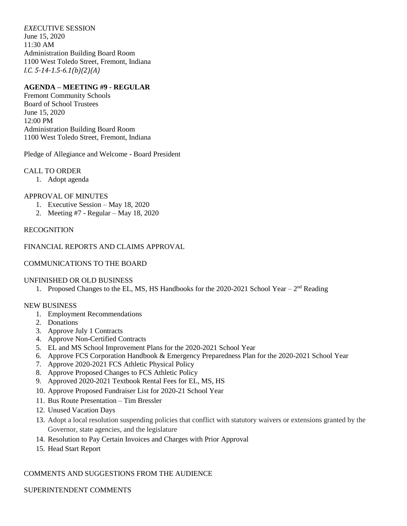*EXE*CUTIVE SESSION June 15, 2020 11:30 AM Administration Building Board Room 1100 West Toledo Street, Fremont, Indiana *I.C. 5-14-1.5-6.1(b)(2)(A)*

## **AGENDA – MEETING #9 - REGULAR**

Fremont Community Schools Board of School Trustees June 15, 2020 12:00 PM Administration Building Board Room 1100 West Toledo Street, Fremont, Indiana

Pledge of Allegiance and Welcome - Board President

## CALL TO ORDER

1. Adopt agenda

## APPROVAL OF MINUTES

- 1. Executive Session May 18, 2020
- 2. Meeting #7 Regular May 18, 2020

## **RECOGNITION**

### FINANCIAL REPORTS AND CLAIMS APPROVAL

### COMMUNICATIONS TO THE BOARD

#### UNFINISHED OR OLD BUSINESS

1. Proposed Changes to the EL, MS, HS Handbooks for the 2020-2021 School Year - 2<sup>nd</sup> Reading

#### NEW BUSINESS

- 1. Employment Recommendations
- 2. Donations
- 3. Approve July 1 Contracts
- 4. Approve Non-Certified Contracts
- 5. EL and MS School Improvement Plans for the 2020-2021 School Year
- 6. Approve FCS Corporation Handbook & Emergency Preparedness Plan for the 2020-2021 School Year
- 7. Approve 2020-2021 FCS Athletic Physical Policy
- 8. Approve Proposed Changes to FCS Athletic Policy
- 9. Approved 2020-2021 Textbook Rental Fees for EL, MS, HS
- 10. Approve Proposed Fundraiser List for 2020-21 School Year
- 11. Bus Route Presentation Tim Bressler
- 12. Unused Vacation Days
- 13. Adopt a local resolution suspending policies that conflict with statutory waivers or extensions granted by the Governor, state agencies, and the legislature
- 14. Resolution to Pay Certain Invoices and Charges with Prior Approval
- 15. Head Start Report

# COMMENTS AND SUGGESTIONS FROM THE AUDIENCE

## SUPERINTENDENT COMMENTS